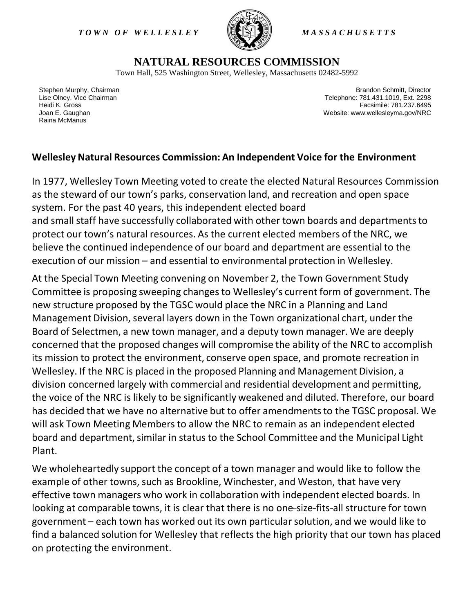*T O W N O F W E L L E S L E Y M A S S A C H U S E T T S*



## **NATURAL RESOURCES COMMISSION**

Town Hall, 525 Washington Street, Wellesley, Massachusetts 02482-5992

Stephen Murphy, Chairman Lise Olney, Vice Chairman Heidi K. Gross Joan E. Gaughan Raina McManus

Brandon Schmitt, Director Telephone: 781.431.1019, Ext. 2298 Facsimile: 781.237.6495 Website: www.wellesleyma.gov/NRC

## **Wellesley Natural Resources Commission: An Independent Voice for the Environment**

In 1977, Wellesley Town Meeting voted to create the elected Natural Resources Commission as the steward of our town's parks, conservation land, and recreation and open space system. For the past 40 years, this independent elected board and small staff have successfully collaborated with other town boards and departmentsto protect our town's natural resources. As the current elected members of the NRC, we believe the continued independence of our board and department are essential to the execution of our mission – and essential to environmental protection in Wellesley.

At the Special Town Meeting convening on November 2, the Town Government Study Committee is proposing sweeping changes to Wellesley's current form of government. The new structure proposed by the TGSC would place the NRC in a Planning and Land Management Division, several layers down in the Town organizational chart, under the Board of Selectmen, a new town manager, and a deputy town manager. We are deeply concerned that the proposed changes will compromise the ability of the NRC to accomplish its mission to protect the environment, conserve open space, and promote recreation in Wellesley. If the NRC is placed in the proposed Planning and Management Division, a division concerned largely with commercial and residential development and permitting, the voice of the NRC is likely to be significantly weakened and diluted. Therefore, our board has decided that we have no alternative but to offer amendments to the TGSC proposal. We will ask Town Meeting Members to allow the NRC to remain as an independent elected board and department, similar in status to the School Committee and the Municipal Light Plant.

We wholeheartedly support the concept of a town manager and would like to follow the example of other towns, such as Brookline, Winchester, and Weston, that have very effective town managers who work in collaboration with independent elected boards. In looking at comparable towns, it is clear that there is no one-size-fits-all structure for town government – each town has worked out its own particularsolution, and we would like to find a balanced solution for Wellesley that reflects the high priority that our town has placed on protecting the environment.